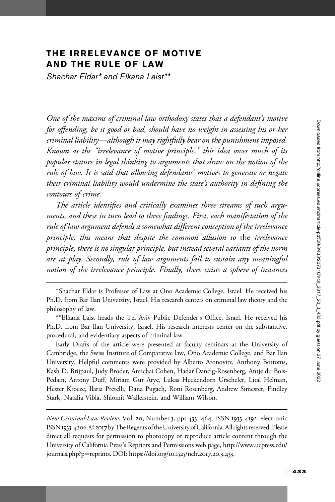# THE IRRELEVANCE OF MOTIVE AND THE RULE OF LAW

Shachar Eldar\* and Elkana Laist\*\*

One of the maxims of criminal law orthodoxy states that a defendant's motive for offending, be it good or bad, should have no weight in assessing his or her criminal liability—although it may rightfully bear on the punishment imposed. Known as the ''irrelevance of motive principle,'' this idea owes much of its popular stature in legal thinking to arguments that draw on the notion of the rule of law. It is said that allowing defendants' motives to generate or negate their criminal liability would undermine the state's authority in defining the contours of crime.

The article identifies and critically examines three streams of such arguments, and these in turn lead to three findings. First, each manifestation of the rule of law argument defends a somewhat different conception of the irrelevance principle; this means that despite the common allusion to the irrelevance principle, there is no singular principle, but instead several variants of the norm are at play. Secondly, rule of law arguments fail to sustain any meaningful notion of the irrelevance principle. Finally, there exists a sphere of instances

\*Shachar Eldar is Professor of Law at Ono Academic College, Israel. He received his Ph.D. from Bar Ilan University, Israel. His research centers on criminal law theory and the philosophy of law.

\*\*Elkana Laist heads the Tel Aviv Public Defender's Office, Israel. He received his Ph.D. from Bar Ilan University, Israel. His research interests center on the substantive, procedural, and evidentiary aspects of criminal law.

Early Drafts of the article were presented at faculty seminars at the University of Cambridge, the Swiss Institute of Comparative law, Ono Academic College, and Bar Ilan University. Helpful comments were provided by Alberto Aronovitz, Anthony Bottoms, Kash D. Brijpaul, Judy Broder, Amichai Cohen, Hadar Dancig-Rosenberg, Antje du Bois-Pedain, Antony Duff, Miriam Gur Arye, Lukas Heckendorn Urscheler, Lital Helman, Hester Kroeze, Ilaria Pretelli, Dana Pugach, Roni Rosenberg, Andrew Simester, Findley Stark, Natalia Vibla, Shlomit Wallerstein, and William Wilson.

New Criminal Law Review, Vol. 20, Number 3, pps 433–464. ISSN 1933-4192, electronic ISSN 1933-4206. © 2017 by The Regents of the University of California. All rights reserved. Please direct all requests for permission to photocopy or reproduce article content through the University of California Press's Reprints and Permissions web page, [http://www.ucpress.edu/](http://www.ucpress.edu/journals.php?p=reprints) [journals.php?p](http://www.ucpress.edu/journals.php?p=reprints)=[reprints](http://www.ucpress.edu/journals.php?p=reprints). [DOI: https://doi.org/](https://doi.org/10.1525/nclr.2017.20.3.433)10.1525/nclr.2017.20.3.433.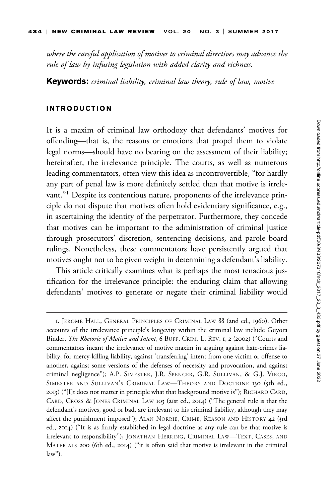where the careful application of motives to criminal directives may advance the rule of law by infusing legislation with added clarity and richness.

Keywords: criminal liability, criminal law theory, rule of law, motive

# INTRODUCTION

It is a maxim of criminal law orthodoxy that defendants' motives for offending—that is, the reasons or emotions that propel them to violate legal norms—should have no bearing on the assessment of their liability; hereinafter, the irrelevance principle. The courts, as well as numerous leading commentators, often view this idea as incontrovertible, ''for hardly any part of penal law is more definitely settled than that motive is irrelevant."<sup>1</sup> Despite its contentious nature, proponents of the irrelevance principle do not dispute that motives often hold evidentiary significance, e.g., in ascertaining the identity of the perpetrator. Furthermore, they concede that motives can be important to the administration of criminal justice through prosecutors' discretion, sentencing decisions, and parole board rulings. Nonetheless, these commentators have persistently argued that motives ought not to be given weight in determining a defendant's liability.

This article critically examines what is perhaps the most tenacious justification for the irrelevance principle: the enduring claim that allowing defendants' motives to generate or negate their criminal liability would

<sup>1.</sup> JEROME HALL, GENERAL PRINCIPLES OF CRIMINAL LAW 88 (2nd ed., 1960). Other accounts of the irrelevance principle's longevity within the criminal law include Guyora Binder, *The Rhetoric of Motive and Intent*, 6 BUFF. CRIM. L. REV. 1, 2 (2002) ("Courts and commentators incant the irrelevance of motive maxim in arguing against hate-crimes liability, for mercy-killing liability, against 'transferring' intent from one victim or offense to another, against some versions of the defenses of necessity and provocation, and against criminal negligence''); A.P. SIMESTER, J.R. SPENCER, G.R. SULLIVAN, & G.J. VIRGO, SIMESTER AND SULLIVAN'S CRIMINAL LAW—THEORY AND DOCTRINE 130 (5th ed., 2013) (''[I]t does not matter in principle what that background motive is''); RICHARD CARD, CARD, CROSS & JONES CRIMINAL LAW 103 (21st ed., 2014) (''The general rule is that the defendant's motives, good or bad, are irrelevant to his criminal liability, although they may affect the punishment imposed''); ALAN NORRIE, CRIME, REASON AND HISTORY 42 (3rd ed., 2014) (''It is as firmly established in legal doctrine as any rule can be that motive is irrelevant to responsibility''); JONATHAN HERRING, CRIMINAL LAW—TEXT, CASES, AND MATERIALS 200 (6th ed., 2014) (''it is often said that motive is irrelevant in the criminal law'').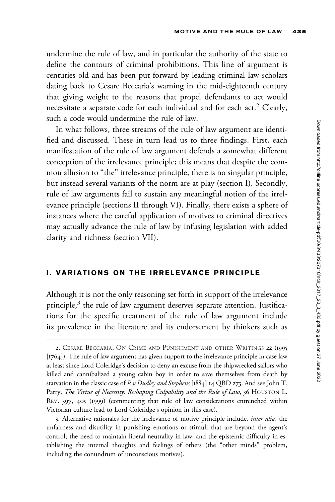undermine the rule of law, and in particular the authority of the state to define the contours of criminal prohibitions. This line of argument is centuries old and has been put forward by leading criminal law scholars dating back to Cesare Beccaria's warning in the mid-eighteenth century that giving weight to the reasons that propel defendants to act would necessitate a separate code for each individual and for each act.<sup>2</sup> Clearly, such a code would undermine the rule of law.

In what follows, three streams of the rule of law argument are identified and discussed. These in turn lead us to three findings. First, each manifestation of the rule of law argument defends a somewhat different conception of the irrelevance principle; this means that despite the common allusion to "the" irrelevance principle, there is no singular principle, but instead several variants of the norm are at play (section I). Secondly, rule of law arguments fail to sustain any meaningful notion of the irrelevance principle (sections II through VI). Finally, there exists a sphere of instances where the careful application of motives to criminal directives may actually advance the rule of law by infusing legislation with added clarity and richness (section VII).

# I. VARIATIONS ON THE IRRELEVANCE PRINCIPLE

Although it is not the only reasoning set forth in support of the irrelevance principle, $3$  the rule of law argument deserves separate attention. Justifications for the specific treatment of the rule of law argument include its prevalence in the literature and its endorsement by thinkers such as

<sup>2.</sup> CESARE BECCARIA, ON CRIME AND PUNISHMENT AND OTHER WRITINGS 22 (1995 [1764]). The rule of law argument has given support to the irrelevance principle in case law at least since Lord Coleridge's decision to deny an excuse from the shipwrecked sailors who killed and cannibalized a young cabin boy in order to save themselves from death by starvation in the classic case of R v Dudley and Stephens [1884] 14 QBD 273. And see John T. Parry, The Virtue of Necessity: Reshaping Culpability and the Rule of Law, 36 HOUSTON L. REV. 397, 405 (1999) (commenting that rule of law considerations entrenched within Victorian culture lead to Lord Coleridge's opinion in this case).

<sup>3.</sup> Alternative rationales for the irrelevance of motive principle include, inter alia, the unfairness and disutility in punishing emotions or stimuli that are beyond the agent's control; the need to maintain liberal neutrality in law; and the epistemic difficulty in establishing the internal thoughts and feelings of others (the ''other minds'' problem, including the conundrum of unconscious motives).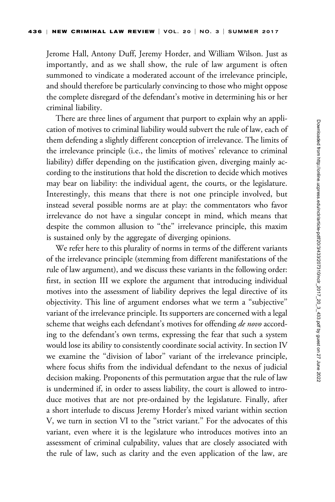Jerome Hall, Antony Duff, Jeremy Horder, and William Wilson. Just as importantly, and as we shall show, the rule of law argument is often summoned to vindicate a moderated account of the irrelevance principle, and should therefore be particularly convincing to those who might oppose the complete disregard of the defendant's motive in determining his or her criminal liability.

There are three lines of argument that purport to explain why an application of motives to criminal liability would subvert the rule of law, each of them defending a slightly different conception of irrelevance. The limits of the irrelevance principle (i.e., the limits of motives' relevance to criminal liability) differ depending on the justification given, diverging mainly according to the institutions that hold the discretion to decide which motives may bear on liability: the individual agent, the courts, or the legislature. Interestingly, this means that there is not one principle involved, but instead several possible norms are at play: the commentators who favor irrelevance do not have a singular concept in mind, which means that despite the common allusion to "the" irrelevance principle, this maxim is sustained only by the aggregate of diverging opinions.

We refer here to this plurality of norms in terms of the different variants of the irrelevance principle (stemming from different manifestations of the rule of law argument), and we discuss these variants in the following order: first, in section III we explore the argument that introducing individual motives into the assessment of liability deprives the legal directive of its objectivity. This line of argument endorses what we term a ''subjective'' variant of the irrelevance principle. Its supporters are concerned with a legal scheme that weighs each defendant's motives for offending de novo according to the defendant's own terms, expressing the fear that such a system would lose its ability to consistently coordinate social activity. In section IV we examine the "division of labor" variant of the irrelevance principle, where focus shifts from the individual defendant to the nexus of judicial decision making. Proponents of this permutation argue that the rule of law is undermined if, in order to assess liability, the court is allowed to introduce motives that are not pre-ordained by the legislature. Finally, after a short interlude to discuss Jeremy Horder's mixed variant within section V, we turn in section VI to the ''strict variant.'' For the advocates of this variant, even where it is the legislature who introduces motives into an assessment of criminal culpability, values that are closely associated with the rule of law, such as clarity and the even application of the law, are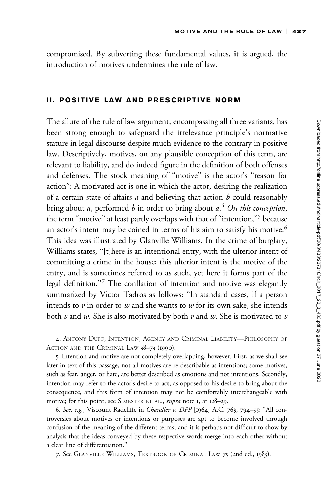compromised. By subverting these fundamental values, it is argued, the introduction of motives undermines the rule of law.

# II. POSITIVE LAW AND PRESCRIPTIVE NORM

The allure of the rule of law argument, encompassing all three variants, has been strong enough to safeguard the irrelevance principle's normative stature in legal discourse despite much evidence to the contrary in positive law. Descriptively, motives, on any plausible conception of this term, are relevant to liability, and do indeed figure in the definition of both offenses and defenses. The stock meaning of ''motive'' is the actor's ''reason for action'': A motivated act is one in which the actor, desiring the realization of a certain state of affairs  $a$  and believing that action  $b$  could reasonably bring about *a*, performed *b* in order to bring about  $a^4$  On this conception, the term "motive" at least partly overlaps with that of "intention,"<sup>5</sup> because an actor's intent may be coined in terms of his aim to satisfy his motive.<sup>6</sup> This idea was illustrated by Glanville Williams. In the crime of burglary, Williams states, "[t]here is an intentional entry, with the ulterior intent of committing a crime in the house; this ulterior intent is the motive of the entry, and is sometimes referred to as such, yet here it forms part of the legal definition."7 The conflation of intention and motive was elegantly summarized by Victor Tadros as follows: ''In standard cases, if a person intends to v in order to w and she wants to w for its own sake, she intends both  $v$  and  $w$ . She is also motivated by both  $v$  and  $w$ . She is motivated to  $v$ 

<sup>4.</sup> ANTONY DUFF, INTENTION, AGENCY AND CRIMINAL LIABILITY—PHILOSOPHY OF ACTION AND THE CRIMINAL LAW 38-73 (1990).

<sup>5.</sup> Intention and motive are not completely overlapping, however. First, as we shall see later in text of this passage, not all motives are re-describable as intentions; some motives, such as fear, anger, or hate, are better described as emotions and not intentions. Secondly, intention may refer to the actor's desire to act, as opposed to his desire to bring about the consequence, and this form of intention may not be comfortably interchangeable with motive; for this point, see SIMESTER ET AL., supra note I, at 128-29.

<sup>6.</sup> See, e.g., Viscount Radcliffe in Chandler v. DPP [1964] A.C. 763, 794-95: "All controversies about motives or intentions or purposes are apt to become involved through confusion of the meaning of the different terms, and it is perhaps not difficult to show by analysis that the ideas conveyed by these respective words merge into each other without a clear line of differentiation.''

<sup>7.</sup> See GLANVILLE WILLIAMS, TEXTBOOK OF CRIMINAL LAW 75 (2nd ed., 1983).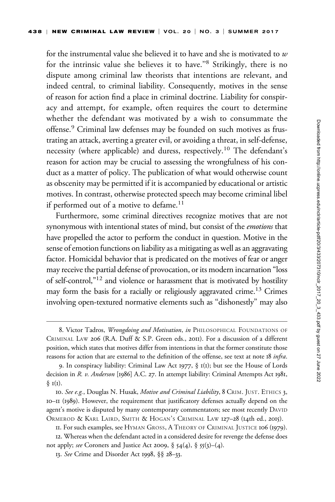for the instrumental value she believed it to have and she is motivated to  $w$ for the intrinsic value she believes it to have.''<sup>8</sup> Strikingly, there is no dispute among criminal law theorists that intentions are relevant, and indeed central, to criminal liability. Consequently, motives in the sense of reason for action find a place in criminal doctrine. Liability for conspiracy and attempt, for example, often requires the court to determine whether the defendant was motivated by a wish to consummate the offense.<sup>9</sup> Criminal law defenses may be founded on such motives as frustrating an attack, averting a greater evil, or avoiding a threat, in self-defense, necessity (where applicable) and duress, respectively.<sup>10</sup> The defendant's reason for action may be crucial to assessing the wrongfulness of his conduct as a matter of policy. The publication of what would otherwise count as obscenity may be permitted if it is accompanied by educational or artistic motives. In contrast, otherwise protected speech may become criminal libel if performed out of a motive to defame.<sup>11</sup>

Furthermore, some criminal directives recognize motives that are not synonymous with intentional states of mind, but consist of the *emotions* that have propelled the actor to perform the conduct in question. Motive in the sense of emotion functions on liability as a mitigating as well as an aggravating factor. Homicidal behavior that is predicated on the motives of fear or anger may receive the partial defense of provocation, or its modern incarnation ''loss of self-control,"<sup>12</sup> and violence or harassment that is motivated by hostility may form the basis for a racially or religiously aggravated crime.<sup>13</sup> Crimes involving open-textured normative elements such as ''dishonestly'' may also

<sup>8.</sup> Victor Tadros, Wrongdoing and Motivation, in PHILOSOPHICAL FOUNDATIONS OF CRIMINAL LAW 206 (R.A. Duff & S.P. Green eds., 2011). For a discussion of a different position, which states that motives differ from intentions in that the former constitute those reasons for action that are external to the definition of the offense, see text at note 18 infra.

<sup>9.</sup> In conspiracy liability: Criminal Law Act 1977, § 1(1); but see the House of Lords decision in R. v. Anderson [1986] A.C. 27. In attempt liability: Criminal Attempts Act 1981,  $\S$  I(I).

<sup>10.</sup> See e.g., Douglas N. Husak, Motive and Criminal Liability, 8 CRIM. JUST. ETHICS 3, 10–11 (1989). However, the requirement that justificatory defenses actually depend on the agent's motive is disputed by many contemporary commentators; see most recently DAVID ORMEROD & KARL LAIRD, SMITH & HOGAN'S CRIMINAL LAW 127–28 (14th ed., 2015).

II. For such examples, see HYMAN GROSS, A THEORY OF CRIMINAL JUSTICE 106 (1979).

<sup>12.</sup> Whereas when the defendant acted in a considered desire for revenge the defense does not apply; see Coroners and Justice Act 2009,  $\S$  54(4),  $\S$  55(3)–(4).

<sup>13.</sup> See Crime and Disorder Act 1998, §§ 28–33.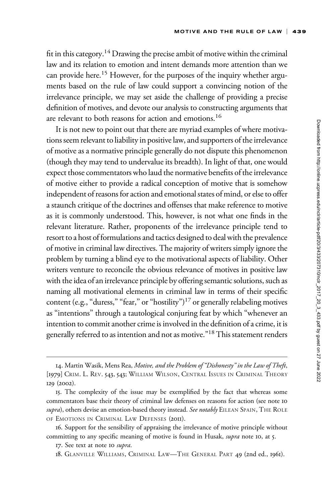fit in this category.<sup>14</sup> Drawing the precise ambit of motive within the criminal law and its relation to emotion and intent demands more attention than we can provide here.<sup>15</sup> However, for the purposes of the inquiry whether arguments based on the rule of law could support a convincing notion of the irrelevance principle, we may set aside the challenge of providing a precise definition of motives, and devote our analysis to constructing arguments that are relevant to both reasons for action and emotions.<sup>16</sup>

It is not new to point out that there are myriad examples of where motivations seem relevant to liability in positive law, and supporters of the irrelevance of motive as a normative principle generally do not dispute this phenomenon (though they may tend to undervalue its breadth). In light of that, one would expect those commentators who laud the normative benefits of the irrelevance of motive either to provide a radical conception of motive that is somehow independent of reasons for action and emotional states of mind, or else to offer a staunch critique of the doctrines and offenses that make reference to motive as it is commonly understood. This, however, is not what one finds in the relevant literature. Rather, proponents of the irrelevance principle tend to resort to a host of formulations and tactics designed to deal with the prevalence of motive in criminal law directives. The majority of writers simply ignore the problem by turning a blind eye to the motivational aspects of liability. Other writers venture to reconcile the obvious relevance of motives in positive law with the idea of an irrelevance principle by offering semantic solutions, such as naming all motivational elements in criminal law in terms of their specific content (e.g., "duress," "fear," or "hostility") $17$  or generally relabeling motives as ''intentions'' through a tautological conjuring feat by which ''whenever an intention to commit another crime is involved in the definition of a crime, it is generally referred to as intention and not as motive."<sup>18</sup> This statement renders

<sup>14.</sup> Martin Wasik, Mens Rea, Motive, and the Problem of "Dishonesty" in the Law of Theft, [1979] CRIM. L. REV. 543, 543; WILLIAM WILSON, CENTRAL ISSUES IN CRIMINAL THEORY 129 (2002).

<sup>15.</sup> The complexity of the issue may be exemplified by the fact that whereas some commentators base their theory of criminal law defenses on reasons for action (see note 10 supra), others devise an emotion-based theory instead. See notably EILEAN SPAIN, THE ROLE OF EMOTIONS IN CRIMINAL LAW DEFENSES (2011).

<sup>16.</sup> Support for the sensibility of appraising the irrelevance of motive principle without committing to any specific meaning of motive is found in Husak, supra note 10, at 5.

<sup>17.</sup> See text at note 10 supra.

<sup>18.</sup> GLANVILLE WILLIAMS, CRIMINAL LAW—THE GENERAL PART 49 (2nd ed., 1961).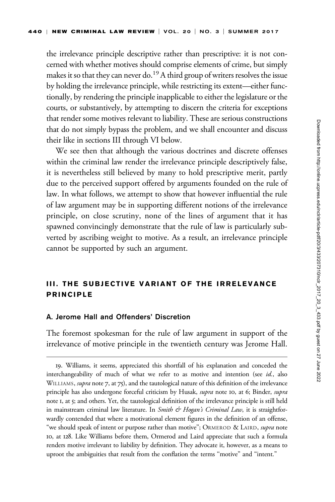the irrelevance principle descriptive rather than prescriptive: it is not concerned with whether motives should comprise elements of crime, but simply makes it so that they can never do.<sup>19</sup> A third group of writers resolves the issue by holding the irrelevance principle, while restricting its extent—either functionally, by rendering the principle inapplicable to either the legislature or the courts, or substantively, by attempting to discern the criteria for exceptions that render some motives relevant to liability. These are serious constructions that do not simply bypass the problem, and we shall encounter and discuss their like in sections III through VI below.

We see then that although the various doctrines and discrete offenses within the criminal law render the irrelevance principle descriptively false, it is nevertheless still believed by many to hold prescriptive merit, partly due to the perceived support offered by arguments founded on the rule of law. In what follows, we attempt to show that however influential the rule of law argument may be in supporting different notions of the irrelevance principle, on close scrutiny, none of the lines of argument that it has spawned convincingly demonstrate that the rule of law is particularly subverted by ascribing weight to motive. As a result, an irrelevance principle cannot be supported by such an argument.

# III. THE SUBJECTIVE VARIANT OF THE IRRELEVANCE PRINCIPLE

### A. Jerome Hall and Offenders' Discretion

The foremost spokesman for the rule of law argument in support of the irrelevance of motive principle in the twentieth century was Jerome Hall.

<sup>19.</sup> Williams, it seems, appreciated this shortfall of his explanation and conceded the interchangeability of much of what we refer to as motive and intention (see  $id$ , also WILLIAMS, *supra* note 7, at 75), and the tautological nature of this definition of the irrelevance principle has also undergone forceful criticism by Husak, supra note 10, at 6; Binder, supra note 1, at 5; and others. Yet, the tautological definition of the irrelevance principle is still held in mainstream criminal law literature. In Smith & Hogan's Criminal Law, it is straightforwardly contended that where a motivational element figures in the definition of an offense, "we should speak of intent or purpose rather than motive"; ORMEROD & LAIRD, supra note 10, at 128. Like Williams before them, Ormerod and Laird appreciate that such a formula renders motive irrelevant to liability by definition. They advocate it, however, as a means to uproot the ambiguities that result from the conflation the terms ''motive'' and ''intent.''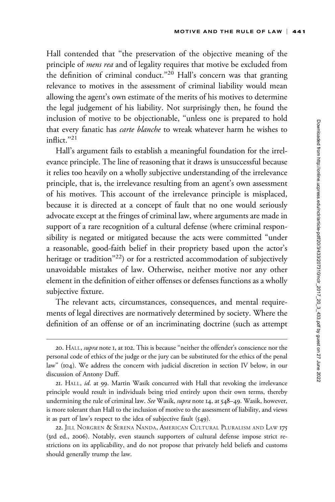Hall contended that ''the preservation of the objective meaning of the principle of mens rea and of legality requires that motive be excluded from the definition of criminal conduct."<sup>20</sup> Hall's concern was that granting relevance to motives in the assessment of criminal liability would mean allowing the agent's own estimate of the merits of his motives to determine the legal judgement of his liability. Not surprisingly then, he found the inclusion of motive to be objectionable, ''unless one is prepared to hold that every fanatic has *carte blanche* to wreak whatever harm he wishes to inflict."<sup>21</sup>

Hall's argument fails to establish a meaningful foundation for the irrelevance principle. The line of reasoning that it draws is unsuccessful because it relies too heavily on a wholly subjective understanding of the irrelevance principle, that is, the irrelevance resulting from an agent's own assessment of his motives. This account of the irrelevance principle is misplaced, because it is directed at a concept of fault that no one would seriously advocate except at the fringes of criminal law, where arguments are made in support of a rare recognition of a cultural defense (where criminal responsibility is negated or mitigated because the acts were committed ''under a reasonable, good-faith belief in their propriety based upon the actor's heritage or tradition<sup>"22</sup>) or for a restricted accommodation of subjectively unavoidable mistakes of law. Otherwise, neither motive nor any other element in the definition of either offenses or defenses functions as a wholly subjective fixture.

The relevant acts, circumstances, consequences, and mental requirements of legal directives are normatively determined by society. Where the definition of an offense or of an incriminating doctrine (such as attempt

<sup>20.</sup> HALL, *supra* note 1, at 102. This is because "neither the offender's conscience nor the personal code of ethics of the judge or the jury can be substituted for the ethics of the penal law'' (104). We address the concern with judicial discretion in section IV below, in our discussion of Antony Duff.

<sup>21.</sup> HALL, id. at 99. Martin Wasik concurred with Hall that revoking the irrelevance principle would result in individuals being tried entirely upon their own terms, thereby undermining the rule of criminal law. See Wasik, supra note 14, at 548-49. Wasik, however, is more tolerant than Hall to the inclusion of motive to the assessment of liability, and views it as part of law's respect to the idea of subjective fault (549).

<sup>22.</sup> JILL NORGREN & SERENA NANDA, AMERICAN CULTURAL PLURALISM AND LAW 175 (3rd ed., 2006). Notably, even staunch supporters of cultural defense impose strict restrictions on its applicability, and do not propose that privately held beliefs and customs should generally trump the law.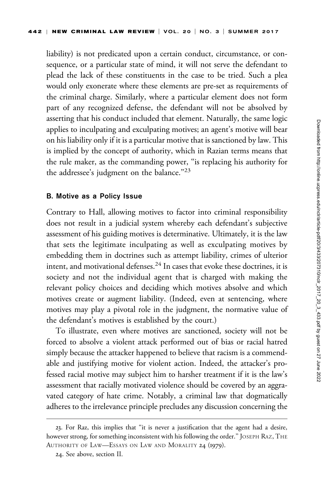liability) is not predicated upon a certain conduct, circumstance, or consequence, or a particular state of mind, it will not serve the defendant to plead the lack of these constituents in the case to be tried. Such a plea would only exonerate where these elements are pre-set as requirements of the criminal charge. Similarly, where a particular element does not form part of any recognized defense, the defendant will not be absolved by asserting that his conduct included that element. Naturally, the same logic applies to inculpating and exculpating motives; an agent's motive will bear on his liability only if it is a particular motive that is sanctioned by law. This is implied by the concept of authority, which in Razian terms means that the rule maker, as the commanding power, ''is replacing his authority for the addressee's judgment on the balance."<sup>23</sup>

## B. Motive as a Policy Issue

Contrary to Hall, allowing motives to factor into criminal responsibility does not result in a judicial system whereby each defendant's subjective assessment of his guiding motives is determinative. Ultimately, it is the law that sets the legitimate inculpating as well as exculpating motives by embedding them in doctrines such as attempt liability, crimes of ulterior intent, and motivational defenses.<sup>24</sup> In cases that evoke these doctrines, it is society and not the individual agent that is charged with making the relevant policy choices and deciding which motives absolve and which motives create or augment liability. (Indeed, even at sentencing, where motives may play a pivotal role in the judgment, the normative value of the defendant's motives is established by the court.)

To illustrate, even where motives are sanctioned, society will not be forced to absolve a violent attack performed out of bias or racial hatred simply because the attacker happened to believe that racism is a commendable and justifying motive for violent action. Indeed, the attacker's professed racial motive may subject him to harsher treatment if it is the law's assessment that racially motivated violence should be covered by an aggravated category of hate crime. Notably, a criminal law that dogmatically adheres to the irrelevance principle precludes any discussion concerning the

<sup>23.</sup> For Raz, this implies that ''it is never a justification that the agent had a desire, however strong, for something inconsistent with his following the order." JOSEPH RAZ, THE AUTHORITY OF LAW—ESSAYS ON LAW AND MORALITY 24 (1979).

<sup>24.</sup> See above, section II.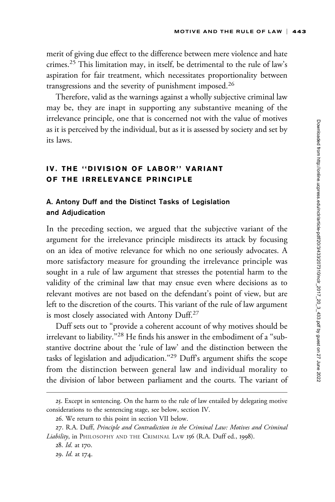merit of giving due effect to the difference between mere violence and hate crimes.<sup>25</sup> This limitation may, in itself, be detrimental to the rule of law's aspiration for fair treatment, which necessitates proportionality between transgressions and the severity of punishment imposed.<sup>26</sup>

Therefore, valid as the warnings against a wholly subjective criminal law may be, they are inapt in supporting any substantive meaning of the irrelevance principle, one that is concerned not with the value of motives as it is perceived by the individual, but as it is assessed by society and set by its laws.

# IV. THE ''DIVISION OF LABOR'' VARIANT OF THE IRRELEVANCE PRINCIPLE

# A. Antony Duff and the Distinct Tasks of Legislation and Adjudication

In the preceding section, we argued that the subjective variant of the argument for the irrelevance principle misdirects its attack by focusing on an idea of motive relevance for which no one seriously advocates. A more satisfactory measure for grounding the irrelevance principle was sought in a rule of law argument that stresses the potential harm to the validity of the criminal law that may ensue even where decisions as to relevant motives are not based on the defendant's point of view, but are left to the discretion of the courts. This variant of the rule of law argument is most closely associated with Antony Duff.27

Duff sets out to ''provide a coherent account of why motives should be irrelevant to liability."<sup>28</sup> He finds his answer in the embodiment of a "substantive doctrine about the 'rule of law' and the distinction between the tasks of legislation and adjudication."<sup>29</sup> Duff's argument shifts the scope from the distinction between general law and individual morality to the division of labor between parliament and the courts. The variant of

<sup>25.</sup> Except in sentencing. On the harm to the rule of law entailed by delegating motive considerations to the sentencing stage, see below, section IV.

<sup>26.</sup> We return to this point in section VII below.

<sup>27.</sup> R.A. Duff, Principle and Contradiction in the Criminal Law: Motives and Criminal Liability, in PHILOSOPHY AND THE CRIMINAL LAW 156 (R.A. Duff ed., 1998).

<sup>28.</sup> Id. at 170.

<sup>29.</sup> Id. at 174.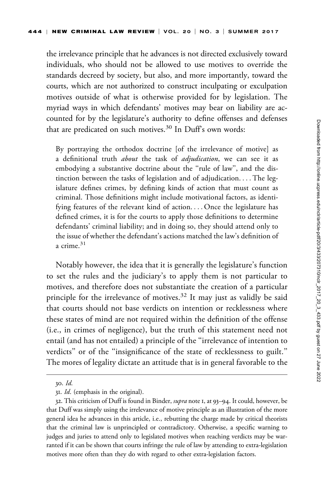the irrelevance principle that he advances is not directed exclusively toward individuals, who should not be allowed to use motives to override the standards decreed by society, but also, and more importantly, toward the courts, which are not authorized to construct inculpating or exculpation motives outside of what is otherwise provided for by legislation. The myriad ways in which defendants' motives may bear on liability are accounted for by the legislature's authority to define offenses and defenses that are predicated on such motives.<sup>30</sup> In Duff's own words:

By portraying the orthodox doctrine [of the irrelevance of motive] as a definitional truth *about* the task of *adjudication*, we can see it as embodying a substantive doctrine about the "rule of law", and the distinction between the tasks of legislation and of adjudication. ... The legislature defines crimes, by defining kinds of action that must count as criminal. Those definitions might include motivational factors, as identifying features of the relevant kind of action. ... Once the legislature has defined crimes, it is for the courts to apply those definitions to determine defendants' criminal liability; and in doing so, they should attend only to the issue of whether the defendant's actions matched the law's definition of a crime. $^{31}$ 

Notably however, the idea that it is generally the legislature's function to set the rules and the judiciary's to apply them is not particular to motives, and therefore does not substantiate the creation of a particular principle for the irrelevance of motives.<sup>32</sup> It may just as validly be said that courts should not base verdicts on intention or recklessness where these states of mind are not required within the definition of the offense (i.e., in crimes of negligence), but the truth of this statement need not entail (and has not entailed) a principle of the ''irrelevance of intention to verdicts'' or of the ''insignificance of the state of recklessness to guilt.'' The mores of legality dictate an attitude that is in general favorable to the

<sup>30.</sup> Id.

<sup>31.</sup> Id. (emphasis in the original).

<sup>32.</sup> This criticism of Duff is found in Binder, *supra* note 1, at 93–94. It could, however, be that Duff was simply using the irrelevance of motive principle as an illustration of the more general idea he advances in this article, i.e., rebutting the charge made by critical theorists that the criminal law is unprincipled or contradictory. Otherwise, a specific warning to judges and juries to attend only to legislated motives when reaching verdicts may be warranted if it can be shown that courts infringe the rule of law by attending to extra-legislation motives more often than they do with regard to other extra-legislation factors.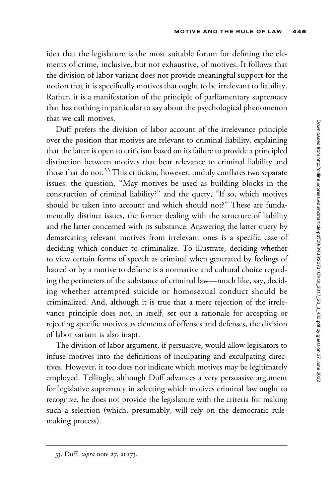idea that the legislature is the most suitable forum for defining the elements of crime, inclusive, but not exhaustive, of motives. It follows that the division of labor variant does not provide meaningful support for the notion that it is specifically motives that ought to be irrelevant to liability. Rather, it is a manifestation of the principle of parliamentary supremacy that has nothing in particular to say about the psychological phenomenon that we call motives.

Duff prefers the division of labor account of the irrelevance principle over the position that motives are relevant to criminal liability, explaining that the latter is open to criticism based on its failure to provide a principled distinction between motives that bear relevance to criminal liability and those that do not.<sup>33</sup> This criticism, however, unduly conflates two separate issues: the question, ''May motives be used as building blocks in the construction of criminal liability?'' and the query, ''If so, which motives should be taken into account and which should not?'' These are fundamentally distinct issues, the former dealing with the structure of liability and the latter concerned with its substance. Answering the latter query by demarcating relevant motives from irrelevant ones is a specific case of deciding which conduct to criminalize. To illustrate, deciding whether to view certain forms of speech as criminal when generated by feelings of hatred or by a motive to defame is a normative and cultural choice regarding the perimeters of the substance of criminal law—much like, say, deciding whether attempted suicide or homosexual conduct should be criminalized. And, although it is true that a mere rejection of the irrelevance principle does not, in itself, set out a rationale for accepting or rejecting specific motives as elements of offenses and defenses, the division of labor variant is also inapt.

The division of labor argument, if persuasive, would allow legislators to infuse motives into the definitions of inculpating and exculpating directives. However, it too does not indicate which motives may be legitimately employed. Tellingly, although Duff advances a very persuasive argument for legislative supremacy in selecting which motives criminal law ought to recognize, he does not provide the legislature with the criteria for making such a selection (which, presumably, will rely on the democratic rulemaking process).

<sup>33.</sup> Duff, supra note 27, at 173.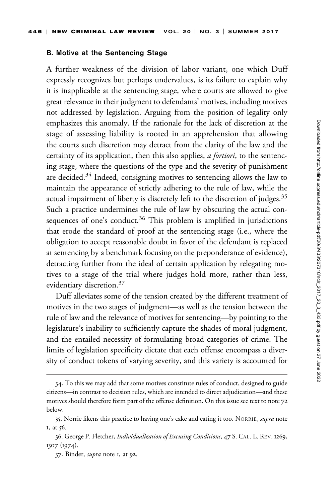## B. Motive at the Sentencing Stage

A further weakness of the division of labor variant, one which Duff expressly recognizes but perhaps undervalues, is its failure to explain why it is inapplicable at the sentencing stage, where courts are allowed to give great relevance in their judgment to defendants' motives, including motives not addressed by legislation. Arguing from the position of legality only emphasizes this anomaly. If the rationale for the lack of discretion at the stage of assessing liability is rooted in an apprehension that allowing the courts such discretion may detract from the clarity of the law and the certainty of its application, then this also applies, a fortiori, to the sentencing stage, where the questions of the type and the severity of punishment are decided.<sup>34</sup> Indeed, consigning motives to sentencing allows the law to maintain the appearance of strictly adhering to the rule of law, while the actual impairment of liberty is discretely left to the discretion of judges.<sup>35</sup> Such a practice undermines the rule of law by obscuring the actual consequences of one's conduct. $36$  This problem is amplified in jurisdictions that erode the standard of proof at the sentencing stage (i.e., where the obligation to accept reasonable doubt in favor of the defendant is replaced at sentencing by a benchmark focusing on the preponderance of evidence), detracting further from the ideal of certain application by relegating motives to a stage of the trial where judges hold more, rather than less, evidentiary discretion.<sup>37</sup>

Duff alleviates some of the tension created by the different treatment of motives in the two stages of judgment—as well as the tension between the rule of law and the relevance of motives for sentencing—by pointing to the legislature's inability to sufficiently capture the shades of moral judgment, and the entailed necessity of formulating broad categories of crime. The limits of legislation specificity dictate that each offense encompass a diversity of conduct tokens of varying severity, and this variety is accounted for

<sup>34.</sup> To this we may add that some motives constitute rules of conduct, designed to guide citizens—in contrast to decision rules, which are intended to direct adjudication—and these motives should therefore form part of the offense definition. On this issue see text to note 72 below.

<sup>35.</sup> Norrie likens this practice to having one's cake and eating it too. NORRIE, supra note 1, at 56.

<sup>36.</sup> George P. Fletcher, Individualization of Excusing Conditions, 47 S. CAL. L. REV. 1269, 1307 (1974).

<sup>37.</sup> Binder, supra note 1, at 92.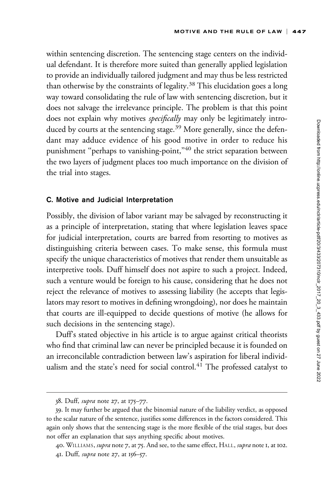within sentencing discretion. The sentencing stage centers on the individual defendant. It is therefore more suited than generally applied legislation to provide an individually tailored judgment and may thus be less restricted than otherwise by the constraints of legality.<sup>38</sup> This elucidation goes a long way toward consolidating the rule of law with sentencing discretion, but it does not salvage the irrelevance principle. The problem is that this point does not explain why motives specifically may only be legitimately introduced by courts at the sentencing stage.<sup>39</sup> More generally, since the defendant may adduce evidence of his good motive in order to reduce his punishment "perhaps to vanishing-point,"<sup>40</sup> the strict separation between the two layers of judgment places too much importance on the division of the trial into stages.

## C. Motive and Judicial Interpretation

Possibly, the division of labor variant may be salvaged by reconstructing it as a principle of interpretation, stating that where legislation leaves space for judicial interpretation, courts are barred from resorting to motives as distinguishing criteria between cases. To make sense, this formula must specify the unique characteristics of motives that render them unsuitable as interpretive tools. Duff himself does not aspire to such a project. Indeed, such a venture would be foreign to his cause, considering that he does not reject the relevance of motives to assessing liability (he accepts that legislators may resort to motives in defining wrongdoing), nor does he maintain that courts are ill-equipped to decide questions of motive (he allows for such decisions in the sentencing stage).

Duff's stated objective in his article is to argue against critical theorists who find that criminal law can never be principled because it is founded on an irreconcilable contradiction between law's aspiration for liberal individualism and the state's need for social control.<sup>41</sup> The professed catalyst to

<sup>38.</sup> Duff, *supra* note 27, at 175–77.

<sup>39.</sup> It may further be argued that the binomial nature of the liability verdict, as opposed to the scalar nature of the sentence, justifies some differences in the factors considered. This again only shows that the sentencing stage is the more flexible of the trial stages, but does not offer an explanation that says anything specific about motives.

<sup>40.</sup> WILLIAMS, *supra* note 7, at 75. And see, to the same effect, HALL, *supra* note 1, at 102. 41. Duff, supra note 27, at 156–57.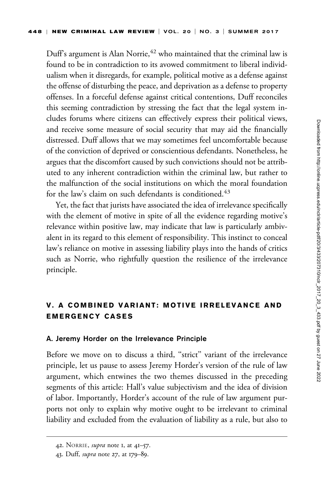Duff's argument is Alan Norrie,<sup>42</sup> who maintained that the criminal law is found to be in contradiction to its avowed commitment to liberal individualism when it disregards, for example, political motive as a defense against the offense of disturbing the peace, and deprivation as a defense to property offenses. In a forceful defense against critical contentions, Duff reconciles this seeming contradiction by stressing the fact that the legal system includes forums where citizens can effectively express their political views, and receive some measure of social security that may aid the financially distressed. Duff allows that we may sometimes feel uncomfortable because of the conviction of deprived or conscientious defendants. Nonetheless, he argues that the discomfort caused by such convictions should not be attributed to any inherent contradiction within the criminal law, but rather to the malfunction of the social institutions on which the moral foundation for the law's claim on such defendants is conditioned.<sup>43</sup>

Yet, the fact that jurists have associated the idea of irrelevance specifically with the element of motive in spite of all the evidence regarding motive's relevance within positive law, may indicate that law is particularly ambivalent in its regard to this element of responsibility. This instinct to conceal law's reliance on motive in assessing liability plays into the hands of critics such as Norrie, who rightfully question the resilience of the irrelevance principle.

# V. A COMBINED VARIANT: MOTIVE IRRELEVANCE AND EMERGENCY CASES

# A. Jeremy Horder on the Irrelevance Principle

Before we move on to discuss a third, "strict" variant of the irrelevance principle, let us pause to assess Jeremy Horder's version of the rule of law argument, which entwines the two themes discussed in the preceding segments of this article: Hall's value subjectivism and the idea of division of labor. Importantly, Horder's account of the rule of law argument purports not only to explain why motive ought to be irrelevant to criminal liability and excluded from the evaluation of liability as a rule, but also to

<sup>42.</sup> NORRIE, *supra* note I, at 4I-57.

<sup>43.</sup> Duff, supra note 27, at 179–89.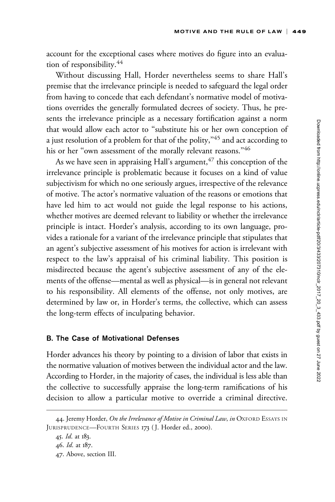account for the exceptional cases where motives do figure into an evaluation of responsibility.<sup>44</sup>

Without discussing Hall, Horder nevertheless seems to share Hall's premise that the irrelevance principle is needed to safeguard the legal order from having to concede that each defendant's normative model of motivations overrides the generally formulated decrees of society. Thus, he presents the irrelevance principle as a necessary fortification against a norm that would allow each actor to ''substitute his or her own conception of a just resolution of a problem for that of the polity,"45 and act according to his or her "own assessment of the morally relevant reasons."46

As we have seen in appraising Hall's argument,  $47$  this conception of the irrelevance principle is problematic because it focuses on a kind of value subjectivism for which no one seriously argues, irrespective of the relevance of motive. The actor's normative valuation of the reasons or emotions that have led him to act would not guide the legal response to his actions, whether motives are deemed relevant to liability or whether the irrelevance principle is intact. Horder's analysis, according to its own language, provides a rationale for a variant of the irrelevance principle that stipulates that an agent's subjective assessment of his motives for action is irrelevant with respect to the law's appraisal of his criminal liability. This position is misdirected because the agent's subjective assessment of any of the elements of the offense—mental as well as physical—is in general not relevant to his responsibility. All elements of the offense, not only motives, are determined by law or, in Horder's terms, the collective, which can assess the long-term effects of inculpating behavior.

# B. The Case of Motivational Defenses

Horder advances his theory by pointing to a division of labor that exists in the normative valuation of motives between the individual actor and the law. According to Horder, in the majority of cases, the individual is less able than the collective to successfully appraise the long-term ramifications of his decision to allow a particular motive to override a criminal directive.

<sup>44.</sup> Jeremy Horder, On the Irrelevance of Motive in Criminal Law, in OXFORD ESSAYS IN JURISPRUDENCE—FOURTH SERIES 173 (J. Horder ed., 2000).

<sup>45.</sup> Id. at 183.

<sup>46.</sup> Id. at 187.

<sup>47.</sup> Above, section III.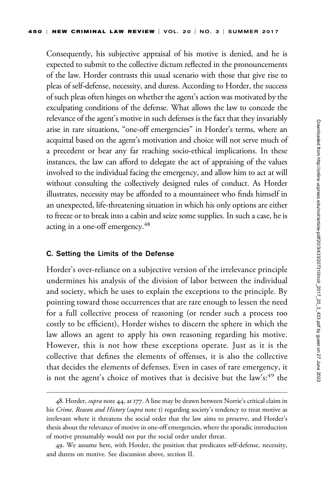Consequently, his subjective appraisal of his motive is denied, and he is expected to submit to the collective dictum reflected in the pronouncements of the law. Horder contrasts this usual scenario with those that give rise to pleas of self-defense, necessity, and duress. According to Horder, the success of such pleas often hinges on whether the agent's action was motivated by the exculpating conditions of the defense. What allows the law to concede the relevance of the agent's motive in such defenses is the fact that they invariably arise in rare situations, ''one-off emergencies'' in Horder's terms, where an acquittal based on the agent's motivation and choice will not serve much of a precedent or bear any far reaching socio-ethical implications. In these instances, the law can afford to delegate the act of appraising of the values involved to the individual facing the emergency, and allow him to act at will without consulting the collectively designed rules of conduct. As Horder illustrates, necessity may be afforded to a mountaineer who finds himself in an unexpected, life-threatening situation in which his only options are either to freeze or to break into a cabin and seize some supplies. In such a case, he is acting in a one-off emergency.<sup>48</sup>

#### C. Setting the Limits of the Defense

Horder's over-reliance on a subjective version of the irrelevance principle undermines his analysis of the division of labor between the individual and society, which he uses to explain the exceptions to the principle. By pointing toward those occurrences that are rare enough to lessen the need for a full collective process of reasoning (or render such a process too costly to be efficient), Horder wishes to discern the sphere in which the law allows an agent to apply his own reasoning regarding his motive. However, this is not how these exceptions operate. Just as it is the collective that defines the elements of offenses, it is also the collective that decides the elements of defenses. Even in cases of rare emergency, it is not the agent's choice of motives that is decisive but the law's: $49$  the

<sup>48.</sup> Horder, *supra* note 44, at 177. A line may be drawn between Norrie's critical claim in his Crime, Reason and History (supra note 1) regarding society's tendency to treat motive as irrelevant where it threatens the social order that the law aims to preserve, and Horder's thesis about the relevance of motive in one-off emergencies, where the sporadic introduction of motive presumably would not put the social order under threat.

<sup>49.</sup> We assume here, with Horder, the position that predicates self-defense, necessity, and duress on motive. See discussion above, section II.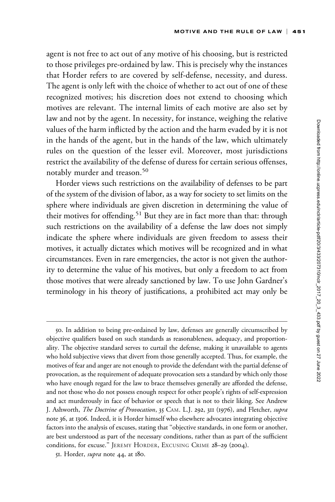agent is not free to act out of any motive of his choosing, but is restricted to those privileges pre-ordained by law. This is precisely why the instances that Horder refers to are covered by self-defense, necessity, and duress. The agent is only left with the choice of whether to act out of one of these recognized motives; his discretion does not extend to choosing which motives are relevant. The internal limits of each motive are also set by law and not by the agent. In necessity, for instance, weighing the relative values of the harm inflicted by the action and the harm evaded by it is not in the hands of the agent, but in the hands of the law, which ultimately rules on the question of the lesser evil. Moreover, most jurisdictions restrict the availability of the defense of duress for certain serious offenses, notably murder and treason.<sup>50</sup>

Horder views such restrictions on the availability of defenses to be part of the system of the division of labor, as a way for society to set limits on the sphere where individuals are given discretion in determining the value of their motives for offending.<sup>51</sup> But they are in fact more than that: through such restrictions on the availability of a defense the law does not simply indicate the sphere where individuals are given freedom to assess their motives, it actually dictates which motives will be recognized and in what circumstances. Even in rare emergencies, the actor is not given the authority to determine the value of his motives, but only a freedom to act from those motives that were already sanctioned by law. To use John Gardner's terminology in his theory of justifications, a prohibited act may only be

<sup>50.</sup> In addition to being pre-ordained by law, defenses are generally circumscribed by objective qualifiers based on such standards as reasonableness, adequacy, and proportionality. The objective standard serves to curtail the defense, making it unavailable to agents who hold subjective views that divert from those generally accepted. Thus, for example, the motives of fear and anger are not enough to provide the defendant with the partial defense of provocation, as the requirement of adequate provocation sets a standard by which only those who have enough regard for the law to brace themselves generally are afforded the defense, and not those who do not possess enough respect for other people's rights of self-expression and act murderously in face of behavior or speech that is not to their liking. See Andrew J. Ashworth, *The Doctrine of Provocation*, 35 CAM. L.J. 292, 311 (1976), and Fletcher, supra note 36, at 1306. Indeed, it is Horder himself who elsewhere advocates integrating objective factors into the analysis of excuses, stating that ''objective standards, in one form or another, are best understood as part of the necessary conditions, rather than as part of the sufficient conditions, for excuse.'' JEREMY HORDER, EXCUSING CRIME 28–29 (2004).

<sup>51.</sup> Horder, supra note 44, at 180.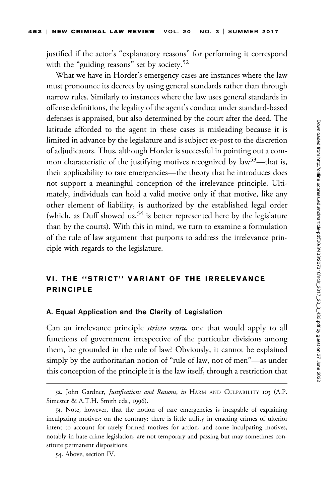justified if the actor's "explanatory reasons" for performing it correspond with the "guiding reasons" set by society.<sup>52</sup>

What we have in Horder's emergency cases are instances where the law must pronounce its decrees by using general standards rather than through narrow rules. Similarly to instances where the law uses general standards in offense definitions, the legality of the agent's conduct under standard-based defenses is appraised, but also determined by the court after the deed. The latitude afforded to the agent in these cases is misleading because it is limited in advance by the legislature and is subject ex-post to the discretion of adjudicators. Thus, although Horder is successful in pointing out a common characteristic of the justifying motives recognized by  $law^{53}$ —that is, their applicability to rare emergencies—the theory that he introduces does not support a meaningful conception of the irrelevance principle. Ultimately, individuals can hold a valid motive only if that motive, like any other element of liability, is authorized by the established legal order (which, as Duff showed us,  $54$  is better represented here by the legislature than by the courts). With this in mind, we turn to examine a formulation of the rule of law argument that purports to address the irrelevance principle with regards to the legislature.

# VI. THE ''STRICT'' VARIANT OF THE IRRELEVANCE PRINCIPLE

#### A. Equal Application and the Clarity of Legislation

Can an irrelevance principle stricto sensu, one that would apply to all functions of government irrespective of the particular divisions among them, be grounded in the rule of law? Obviously, it cannot be explained simply by the authoritarian notion of "rule of law, not of men"—as under this conception of the principle it is the law itself, through a restriction that

<sup>52.</sup> John Gardner, Justifications and Reasons, in HARM AND CULPABILITY 103 (A.P. Simester & A.T.H. Smith eds., 1996).

<sup>53.</sup> Note, however, that the notion of rare emergencies is incapable of explaining inculpating motives; on the contrary: there is little utility in enacting crimes of ulterior intent to account for rarely formed motives for action, and some inculpating motives, notably in hate crime legislation, are not temporary and passing but may sometimes constitute permanent dispositions.

<sup>54.</sup> Above, section IV.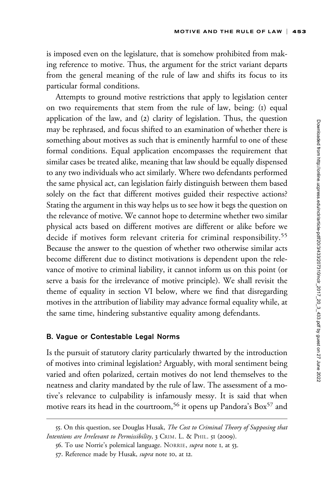is imposed even on the legislature, that is somehow prohibited from making reference to motive. Thus, the argument for the strict variant departs from the general meaning of the rule of law and shifts its focus to its particular formal conditions.

Attempts to ground motive restrictions that apply to legislation center on two requirements that stem from the rule of law, being: (1) equal application of the law, and (2) clarity of legislation. Thus, the question may be rephrased, and focus shifted to an examination of whether there is something about motives as such that is eminently harmful to one of these formal conditions. Equal application encompasses the requirement that similar cases be treated alike, meaning that law should be equally dispensed to any two individuals who act similarly. Where two defendants performed the same physical act, can legislation fairly distinguish between them based solely on the fact that different motives guided their respective actions? Stating the argument in this way helps us to see how it begs the question on the relevance of motive. We cannot hope to determine whether two similar physical acts based on different motives are different or alike before we decide if motives form relevant criteria for criminal responsibility.<sup>55</sup> Because the answer to the question of whether two otherwise similar acts become different due to distinct motivations is dependent upon the relevance of motive to criminal liability, it cannot inform us on this point (or serve a basis for the irrelevance of motive principle). We shall revisit the theme of equality in section VI below, where we find that disregarding motives in the attribution of liability may advance formal equality while, at the same time, hindering substantive equality among defendants.

## B. Vague or Contestable Legal Norms

Is the pursuit of statutory clarity particularly thwarted by the introduction of motives into criminal legislation? Arguably, with moral sentiment being varied and often polarized, certain motives do not lend themselves to the neatness and clarity mandated by the rule of law. The assessment of a motive's relevance to culpability is infamously messy. It is said that when motive rears its head in the courtroom,<sup>56</sup> it opens up Pandora's Box<sup>57</sup> and

<sup>55.</sup> On this question, see Douglas Husak, The Cost to Criminal Theory of Supposing that Intentions are Irrelevant to Permissibility, 3 CRIM. L. & PHIL. 51 (2009).

<sup>56.</sup> To use Norrie's polemical language. NORRIE, supra note 1, at 53.

<sup>57.</sup> Reference made by Husak, *supra* note 10, at 12.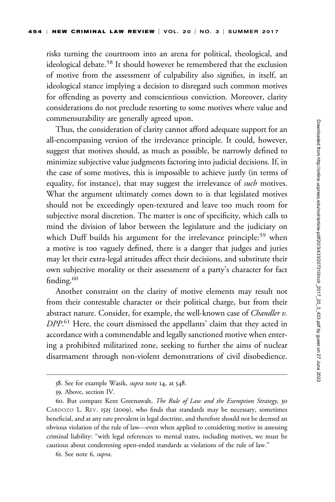risks turning the courtroom into an arena for political, theological, and ideological debate.<sup>58</sup> It should however be remembered that the exclusion of motive from the assessment of culpability also signifies, in itself, an ideological stance implying a decision to disregard such common motives for offending as poverty and conscientious conviction. Moreover, clarity considerations do not preclude resorting to some motives where value and commensurability are generally agreed upon.

Thus, the consideration of clarity cannot afford adequate support for an all-encompassing version of the irrelevance principle. It could, however, suggest that motives should, as much as possible, be narrowly defined to minimize subjective value judgments factoring into judicial decisions. If, in the case of some motives, this is impossible to achieve justly (in terms of equality, for instance), that may suggest the irrelevance of *such* motives. What the argument ultimately comes down to is that legislated motives should not be exceedingly open-textured and leave too much room for subjective moral discretion. The matter is one of specificity, which calls to mind the division of labor between the legislature and the judiciary on which Duff builds his argument for the irrelevance principle:<sup>59</sup> when a motive is too vaguely defined, there is a danger that judges and juries may let their extra-legal attitudes affect their decisions, and substitute their own subjective morality or their assessment of a party's character for fact finding.<sup>60</sup>

Another constraint on the clarity of motive elements may result not from their contestable character or their political charge, but from their abstract nature. Consider, for example, the well-known case of Chandler v. DPP.<sup>61</sup> Here, the court dismissed the appellants' claim that they acted in accordance with a commendable and legally sanctioned motive when entering a prohibited militarized zone, seeking to further the aims of nuclear disarmament through non-violent demonstrations of civil disobedience.

<sup>58.</sup> See for example Wasik, *supra* note 14, at 548.

<sup>59.</sup> Above, section IV.

<sup>60.</sup> But compare Kent Greenawalt, The Rule of Law and the Exemption Strategy, 30 CARDOZO L. REV. 1525 (2009), who finds that standards may be necessary, sometimes beneficial, and at any rate prevalent in legal doctrine, and therefore should not be deemed an obvious violation of the rule of law—even when applied to considering motive in assessing criminal liability: ''with legal references to mental states, including motives, we must be cautious about condemning open-ended standards as violations of the rule of law.''

<sup>61.</sup> See note 6, supra.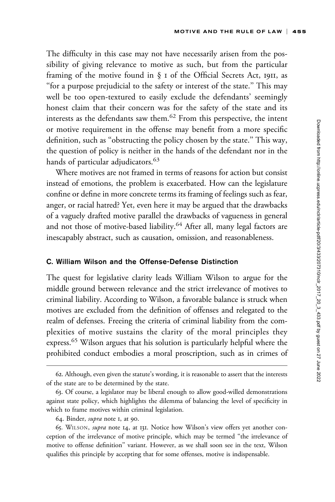The difficulty in this case may not have necessarily arisen from the possibility of giving relevance to motive as such, but from the particular framing of the motive found in § 1 of the Official Secrets Act, 1911, as ''for a purpose prejudicial to the safety or interest of the state.'' This may well be too open-textured to easily exclude the defendants' seemingly honest claim that their concern was for the safety of the state and its interests as the defendants saw them.<sup>62</sup> From this perspective, the intent or motive requirement in the offense may benefit from a more specific definition, such as ''obstructing the policy chosen by the state.'' This way, the question of policy is neither in the hands of the defendant nor in the hands of particular adjudicators.<sup>63</sup>

Where motives are not framed in terms of reasons for action but consist instead of emotions, the problem is exacerbated. How can the legislature confine or define in more concrete terms its framing of feelings such as fear, anger, or racial hatred? Yet, even here it may be argued that the drawbacks of a vaguely drafted motive parallel the drawbacks of vagueness in general and not those of motive-based liability.<sup>64</sup> After all, many legal factors are inescapably abstract, such as causation, omission, and reasonableness.

## C. William Wilson and the Offense-Defense Distinction

The quest for legislative clarity leads William Wilson to argue for the middle ground between relevance and the strict irrelevance of motives to criminal liability. According to Wilson, a favorable balance is struck when motives are excluded from the definition of offenses and relegated to the realm of defenses. Freeing the criteria of criminal liability from the complexities of motive sustains the clarity of the moral principles they express.<sup>65</sup> Wilson argues that his solution is particularly helpful where the prohibited conduct embodies a moral proscription, such as in crimes of

<sup>62.</sup> Although, even given the statute's wording, it is reasonable to assert that the interests of the state are to be determined by the state.

<sup>63.</sup> Of course, a legislator may be liberal enough to allow good-willed demonstrations against state policy, which highlights the dilemma of balancing the level of specificity in which to frame motives within criminal legislation.

<sup>64.</sup> Binder, supra note 1, at 90.

<sup>65.</sup> WILSON, supra note 14, at 131. Notice how Wilson's view offers yet another conception of the irrelevance of motive principle, which may be termed ''the irrelevance of motive to offense definition'' variant. However, as we shall soon see in the text, Wilson qualifies this principle by accepting that for some offenses, motive is indispensable.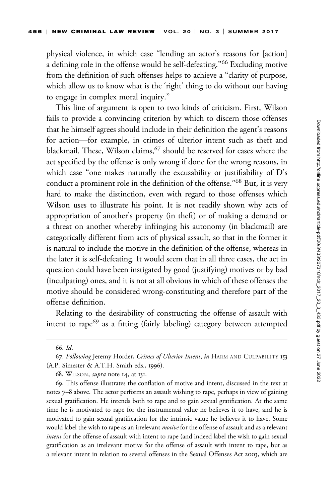physical violence, in which case ''lending an actor's reasons for [action] a defining role in the offense would be self-defeating.''66 Excluding motive from the definition of such offenses helps to achieve a ''clarity of purpose, which allow us to know what is the 'right' thing to do without our having to engage in complex moral inquiry.''

This line of argument is open to two kinds of criticism. First, Wilson fails to provide a convincing criterion by which to discern those offenses that he himself agrees should include in their definition the agent's reasons for action—for example, in crimes of ulterior intent such as theft and blackmail. These, Wilson claims,<sup>67</sup> should be reserved for cases where the act specified by the offense is only wrong if done for the wrong reasons, in which case "one makes naturally the excusability or justifiability of D's conduct a prominent role in the definition of the offense.''68 But, it is very hard to make the distinction, even with regard to those offenses which Wilson uses to illustrate his point. It is not readily shown why acts of appropriation of another's property (in theft) or of making a demand or a threat on another whereby infringing his autonomy (in blackmail) are categorically different from acts of physical assault, so that in the former it is natural to include the motive in the definition of the offense, whereas in the later it is self-defeating. It would seem that in all three cases, the act in question could have been instigated by good (justifying) motives or by bad (inculpating) ones, and it is not at all obvious in which of these offenses the motive should be considered wrong-constituting and therefore part of the offense definition.

Relating to the desirability of constructing the offense of assault with intent to rape $^{69}$  as a fitting (fairly labeling) category between attempted

68. WILSON, *supra* note 14, at 131.

69. This offense illustrates the conflation of motive and intent, discussed in the text at notes 7–8 above. The actor performs an assault wishing to rape, perhaps in view of gaining sexual gratification. He intends both to rape and to gain sexual gratification. At the same time he is motivated to rape for the instrumental value he believes it to have, and he is motivated to gain sexual gratification for the intrinsic value he believes it to have. Some would label the wish to rape as an irrelevant *motive* for the offense of assault and as a relevant intent for the offense of assault with intent to rape (and indeed label the wish to gain sexual gratification as an irrelevant motive for the offense of assault with intent to rape, but as a relevant intent in relation to several offenses in the Sexual Offenses Act 2003, which are

<sup>66.</sup> Id.

<sup>67.</sup> Following Jeremy Horder, Crimes of Ulterior Intent, in HARM AND CULPABILITY 153 (A.P. Simester & A.T.H. Smith eds., 1996).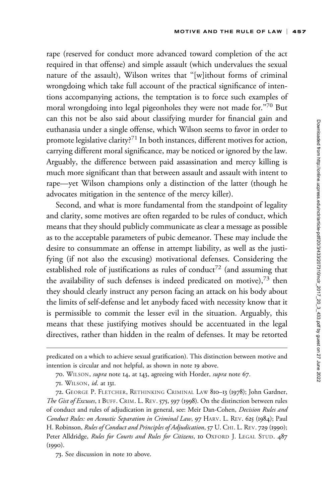rape (reserved for conduct more advanced toward completion of the act required in that offense) and simple assault (which undervalues the sexual nature of the assault), Wilson writes that ''[w]ithout forms of criminal wrongdoing which take full account of the practical significance of intentions accompanying actions, the temptation is to force such examples of moral wrongdoing into legal pigeonholes they were not made for."<sup>70</sup> But can this not be also said about classifying murder for financial gain and euthanasia under a single offense, which Wilson seems to favor in order to promote legislative clarity?<sup>71</sup> In both instances, different motives for action, carrying different moral significance, may be noticed or ignored by the law. Arguably, the difference between paid assassination and mercy killing is much more significant than that between assault and assault with intent to rape—yet Wilson champions only a distinction of the latter (though he advocates mitigation in the sentence of the mercy killer).

Second, and what is more fundamental from the standpoint of legality and clarity, some motives are often regarded to be rules of conduct, which means that they should publicly communicate as clear a message as possible as to the acceptable parameters of pubic demeanor. These may include the desire to consummate an offense in attempt liability, as well as the justifying (if not also the excusing) motivational defenses. Considering the established role of justifications as rules of conduct<sup>72</sup> (and assuming that the availability of such defenses is indeed predicated on motive), $73$  then they should clearly instruct any person facing an attack on his body about the limits of self-defense and let anybody faced with necessity know that it is permissible to commit the lesser evil in the situation. Arguably, this means that these justifying motives should be accentuated in the legal directives, rather than hidden in the realm of defenses. It may be retorted

predicated on a which to achieve sexual gratification). This distinction between motive and intention is circular and not helpful, as shown in note 19 above.

<sup>70.</sup> WILSON, supra note 14, at 143, agreeing with Horder, supra note 67.

<sup>71.</sup> WILSON, id. at 131.

<sup>72.</sup> GEORGE P. FLETCHER, RETHINKING CRIMINAL LAW 810–13 (1978); John Gardner, The Gist of Excuses, 1 BUFF. CRIM. L. REV. 575, 597 (1998). On the distinction between rules of conduct and rules of adjudication in general, see: Meir Dan-Cohen, Decision Rules and Conduct Rules: on Acoustic Separation in Criminal Law, 97 HARV. L. REV. 625 (1984); Paul H. Robinson, Rules of Conduct and Principles of Adjudication, 57 U. CHI. L. REV. 729 (1990); Peter Alldridge, Rules for Courts and Rules for Citizens, 10 OXFORD J. LEGAL STUD. 487 (1990).

<sup>73.</sup> See discussion in note 10 above.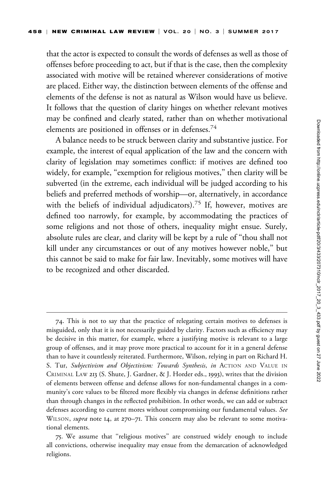that the actor is expected to consult the words of defenses as well as those of offenses before proceeding to act, but if that is the case, then the complexity associated with motive will be retained wherever considerations of motive are placed. Either way, the distinction between elements of the offense and elements of the defense is not as natural as Wilson would have us believe. It follows that the question of clarity hinges on whether relevant motives may be confined and clearly stated, rather than on whether motivational elements are positioned in offenses or in defenses.<sup>74</sup>

A balance needs to be struck between clarity and substantive justice. For example, the interest of equal application of the law and the concern with clarity of legislation may sometimes conflict: if motives are defined too widely, for example, "exemption for religious motives," then clarity will be subverted (in the extreme, each individual will be judged according to his beliefs and preferred methods of worship—or, alternatively, in accordance with the beliefs of individual adjudicators).<sup>75</sup> If, however, motives are defined too narrowly, for example, by accommodating the practices of some religions and not those of others, inequality might ensue. Surely, absolute rules are clear, and clarity will be kept by a rule of ''thou shall not kill under any circumstances or out of any motives however noble,'' but this cannot be said to make for fair law. Inevitably, some motives will have to be recognized and other discarded.

<sup>74.</sup> This is not to say that the practice of relegating certain motives to defenses is misguided, only that it is not necessarily guided by clarity. Factors such as efficiency may be decisive in this matter, for example, where a justifying motive is relevant to a large group of offenses, and it may prove more practical to account for it in a general defense than to have it countlessly reiterated. Furthermore, Wilson, relying in part on Richard H. S. Tur, Subjectivism and Objectivism: Towards Synthesis, in ACTION AND VALUE IN CRIMINAL LAW 213 (S. Shute, J. Gardner, & J. Horder eds., 1993), writes that the division of elements between offense and defense allows for non-fundamental changes in a community's core values to be filtered more flexibly via changes in defense definitions rather than through changes in the reflected prohibition. In other words, we can add or subtract defenses according to current mores without compromising our fundamental values. See WILSON, *supra* note 14, at 270-71. This concern may also be relevant to some motivational elements.

<sup>75.</sup> We assume that ''religious motives'' are construed widely enough to include all convictions, otherwise inequality may ensue from the demarcation of acknowledged religions.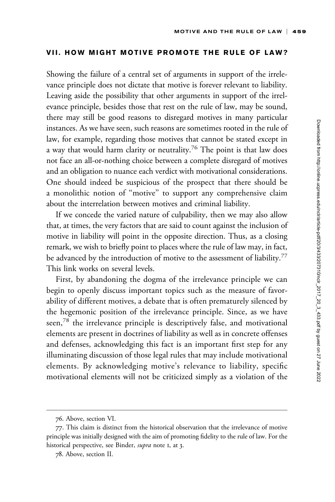# VII. HOW MIGHT MOTIVE PROMOTE THE RULE OF LAW?

Showing the failure of a central set of arguments in support of the irrelevance principle does not dictate that motive is forever relevant to liability. Leaving aside the possibility that other arguments in support of the irrelevance principle, besides those that rest on the rule of law, may be sound, there may still be good reasons to disregard motives in many particular instances. As we have seen, such reasons are sometimes rooted in the rule of law, for example, regarding those motives that cannot be stated except in a way that would harm clarity or neutrality.<sup>76</sup> The point is that law does not face an all-or-nothing choice between a complete disregard of motives and an obligation to nuance each verdict with motivational considerations. One should indeed be suspicious of the prospect that there should be a monolithic notion of ''motive'' to support any comprehensive claim about the interrelation between motives and criminal liability.

If we concede the varied nature of culpability, then we may also allow that, at times, the very factors that are said to count against the inclusion of motive in liability will point in the opposite direction. Thus, as a closing remark, we wish to briefly point to places where the rule of law may, in fact, be advanced by the introduction of motive to the assessment of liability.<sup>77</sup> This link works on several levels.

First, by abandoning the dogma of the irrelevance principle we can begin to openly discuss important topics such as the measure of favorability of different motives, a debate that is often prematurely silenced by the hegemonic position of the irrelevance principle. Since, as we have seen,<sup>78</sup> the irrelevance principle is descriptively false, and motivational elements are present in doctrines of liability as well as in concrete offenses and defenses, acknowledging this fact is an important first step for any illuminating discussion of those legal rules that may include motivational elements. By acknowledging motive's relevance to liability, specific motivational elements will not be criticized simply as a violation of the

<sup>76.</sup> Above, section VI.

<sup>77.</sup> This claim is distinct from the historical observation that the irrelevance of motive principle was initially designed with the aim of promoting fidelity to the rule of law. For the historical perspective, see Binder, supra note 1, at 3.

<sup>78.</sup> Above, section II.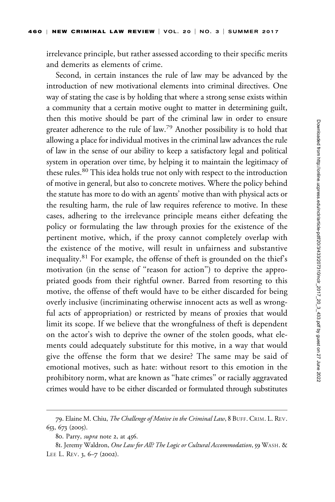irrelevance principle, but rather assessed according to their specific merits and demerits as elements of crime.

Second, in certain instances the rule of law may be advanced by the introduction of new motivational elements into criminal directives. One way of stating the case is by holding that where a strong sense exists within a community that a certain motive ought to matter in determining guilt, then this motive should be part of the criminal law in order to ensure greater adherence to the rule of law.<sup>79</sup> Another possibility is to hold that allowing a place for individual motives in the criminal law advances the rule of law in the sense of our ability to keep a satisfactory legal and political system in operation over time, by helping it to maintain the legitimacy of these rules.<sup>80</sup> This idea holds true not only with respect to the introduction of motive in general, but also to concrete motives. Where the policy behind the statute has more to do with an agents' motive than with physical acts or the resulting harm, the rule of law requires reference to motive. In these cases, adhering to the irrelevance principle means either defeating the policy or formulating the law through proxies for the existence of the pertinent motive, which, if the proxy cannot completely overlap with the existence of the motive, will result in unfairness and substantive inequality.<sup>81</sup> For example, the offense of theft is grounded on the thief's motivation (in the sense of ''reason for action'') to deprive the appropriated goods from their rightful owner. Barred from resorting to this motive, the offense of theft would have to be either discarded for being overly inclusive (incriminating otherwise innocent acts as well as wrongful acts of appropriation) or restricted by means of proxies that would limit its scope. If we believe that the wrongfulness of theft is dependent on the actor's wish to deprive the owner of the stolen goods, what elements could adequately substitute for this motive, in a way that would give the offense the form that we desire? The same may be said of emotional motives, such as hate: without resort to this emotion in the prohibitory norm, what are known as ''hate crimes'' or racially aggravated crimes would have to be either discarded or formulated through substitutes

<sup>79.</sup> Elaine M. Chiu, The Challenge of Motive in the Criminal Law, 8 BUFF. CRIM. L. REV. 653, 673 (2005).

<sup>80.</sup> Parry, supra note 2, at 456.

<sup>81.</sup> Jeremy Waldron, One Law for All? The Logic or Cultural Accommodation, 59 WASH. & LEE L. REV. 3, 6–7 (2002).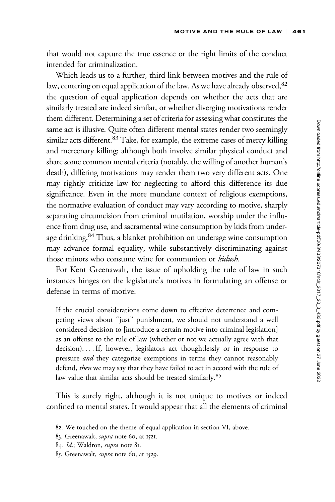that would not capture the true essence or the right limits of the conduct intended for criminalization.

Which leads us to a further, third link between motives and the rule of law, centering on equal application of the law. As we have already observed, <sup>82</sup> the question of equal application depends on whether the acts that are similarly treated are indeed similar, or whether diverging motivations render them different. Determining a set of criteria for assessing what constitutes the same act is illusive. Quite often different mental states render two seemingly similar acts different.<sup>83</sup> Take, for example, the extreme cases of mercy killing and mercenary killing: although both involve similar physical conduct and share some common mental criteria (notably, the willing of another human's death), differing motivations may render them two very different acts. One may rightly criticize law for neglecting to afford this difference its due significance. Even in the more mundane context of religious exemptions, the normative evaluation of conduct may vary according to motive, sharply separating circumcision from criminal mutilation, worship under the influence from drug use, and sacramental wine consumption by kids from underage drinking.<sup>84</sup> Thus, a blanket prohibition on underage wine consumption may advance formal equality, while substantively discriminating against those minors who consume wine for communion or kidush.

For Kent Greenawalt, the issue of upholding the rule of law in such instances hinges on the legislature's motives in formulating an offense or defense in terms of motive:

If the crucial considerations come down to effective deterrence and competing views about ''just'' punishment, we should not understand a well considered decision to [introduce a certain motive into criminal legislation] as an offense to the rule of law (whether or not we actually agree with that decision). ... If, however, legislators act thoughtlessly or in response to pressure *and* they categorize exemptions in terms they cannot reasonably defend, then we may say that they have failed to act in accord with the rule of law value that similar acts should be treated similarly.<sup>85</sup>

This is surely right, although it is not unique to motives or indeed confined to mental states. It would appear that all the elements of criminal

<sup>82.</sup> We touched on the theme of equal application in section VI, above.

<sup>83.</sup> Greenawalt, *supra* note 60, at 1521.

<sup>84.</sup> Id.; Waldron, supra note 81.

<sup>85.</sup> Greenawalt, supra note 60, at 1529.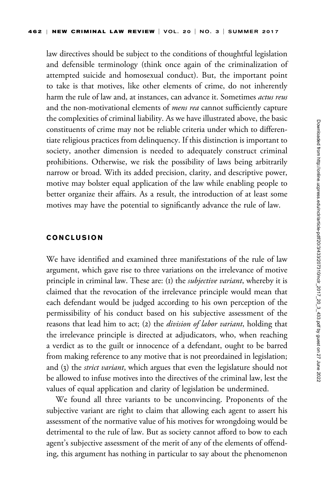law directives should be subject to the conditions of thoughtful legislation and defensible terminology (think once again of the criminalization of attempted suicide and homosexual conduct). But, the important point to take is that motives, like other elements of crime, do not inherently harm the rule of law and, at instances, can advance it. Sometimes *actus reus* and the non-motivational elements of mens rea cannot sufficiently capture the complexities of criminal liability. As we have illustrated above, the basic constituents of crime may not be reliable criteria under which to differentiate religious practices from delinquency. If this distinction is important to society, another dimension is needed to adequately construct criminal prohibitions. Otherwise, we risk the possibility of laws being arbitrarily narrow or broad. With its added precision, clarity, and descriptive power, motive may bolster equal application of the law while enabling people to better organize their affairs. As a result, the introduction of at least some motives may have the potential to significantly advance the rule of law.

## **CONCLUSION**

We have identified and examined three manifestations of the rule of law argument, which gave rise to three variations on the irrelevance of motive principle in criminal law. These are: (1) the *subjective variant*, whereby it is claimed that the revocation of the irrelevance principle would mean that each defendant would be judged according to his own perception of the permissibility of his conduct based on his subjective assessment of the reasons that lead him to act; (2) the *division of labor variant*, holding that the irrelevance principle is directed at adjudicators, who, when reaching a verdict as to the guilt or innocence of a defendant, ought to be barred from making reference to any motive that is not preordained in legislation; and (3) the strict variant, which argues that even the legislature should not be allowed to infuse motives into the directives of the criminal law, lest the values of equal application and clarity of legislation be undermined.

We found all three variants to be unconvincing. Proponents of the subjective variant are right to claim that allowing each agent to assert his assessment of the normative value of his motives for wrongdoing would be detrimental to the rule of law. But as society cannot afford to bow to each agent's subjective assessment of the merit of any of the elements of offending, this argument has nothing in particular to say about the phenomenon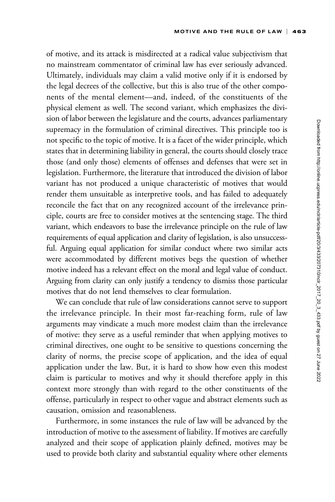of motive, and its attack is misdirected at a radical value subjectivism that no mainstream commentator of criminal law has ever seriously advanced. Ultimately, individuals may claim a valid motive only if it is endorsed by the legal decrees of the collective, but this is also true of the other components of the mental element—and, indeed, of the constituents of the physical element as well. The second variant, which emphasizes the division of labor between the legislature and the courts, advances parliamentary supremacy in the formulation of criminal directives. This principle too is not specific to the topic of motive. It is a facet of the wider principle, which states that in determining liability in general, the courts should closely trace those (and only those) elements of offenses and defenses that were set in legislation. Furthermore, the literature that introduced the division of labor variant has not produced a unique characteristic of motives that would render them unsuitable as interpretive tools, and has failed to adequately reconcile the fact that on any recognized account of the irrelevance principle, courts are free to consider motives at the sentencing stage. The third variant, which endeavors to base the irrelevance principle on the rule of law requirements of equal application and clarity of legislation, is also unsuccessful. Arguing equal application for similar conduct where two similar acts were accommodated by different motives begs the question of whether motive indeed has a relevant effect on the moral and legal value of conduct. Arguing from clarity can only justify a tendency to dismiss those particular motives that do not lend themselves to clear formulation.

We can conclude that rule of law considerations cannot serve to support the irrelevance principle. In their most far-reaching form, rule of law arguments may vindicate a much more modest claim than the irrelevance of motive: they serve as a useful reminder that when applying motives to criminal directives, one ought to be sensitive to questions concerning the clarity of norms, the precise scope of application, and the idea of equal application under the law. But, it is hard to show how even this modest claim is particular to motives and why it should therefore apply in this context more strongly than with regard to the other constituents of the offense, particularly in respect to other vague and abstract elements such as causation, omission and reasonableness.

Furthermore, in some instances the rule of law will be advanced by the introduction of motive to the assessment of liability. If motives are carefully analyzed and their scope of application plainly defined, motives may be used to provide both clarity and substantial equality where other elements